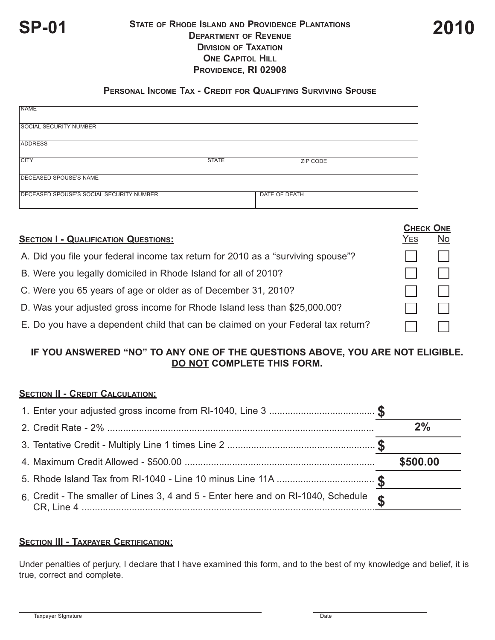

## **STATE OF RHODE ISLAND AND PROVIDENCE PLANTATIONS SP-01 2010 DEPARTMENT OF REVENUE DIVISION OF TAXATION ONE CAPITOL HILL PROVIDENCE, RI 02908**

#### **PERSONAL INCOME TAX - CREDIT FOR QUALIFYING SURVIVING SPOUSE**

| <b>NAME</b>                              |              |               |  |
|------------------------------------------|--------------|---------------|--|
| <b>SOCIAL SECURITY NUMBER</b>            |              |               |  |
| <b>ADDRESS</b>                           |              |               |  |
| <b>CITY</b>                              | <b>STATE</b> | ZIP CODE      |  |
| DECEASED SPOUSE'S NAME                   |              |               |  |
| DECEASED SPOUSE'S SOCIAL SECURITY NUMBER |              | DATE OF DEATH |  |

|                                                                                  | <b>CHECK ONE</b> |           |
|----------------------------------------------------------------------------------|------------------|-----------|
| <b>SECTION I - QUALIFICATION QUESTIONS:</b>                                      | YES              | <b>No</b> |
| A. Did you file your federal income tax return for 2010 as a "surviving spouse"? |                  |           |
| B. Were you legally domiciled in Rhode Island for all of 2010?                   |                  |           |
| C. Were you 65 years of age or older as of December 31, 2010?                    |                  |           |
| D. Was your adjusted gross income for Rhode Island less than \$25,000.00?        |                  |           |
| E. Do you have a dependent child that can be claimed on your Federal tax return? |                  |           |

# **IF YOU ANSWERED "NO" TO ANY ONE OF THE QUESTIONS ABOVE, YOU ARE NOT ELIGIBLE. DO NOT COMPLETE THIS FORM.**

## **SECTION II - CREDIT CALCULATION:**

|                                                                                             | 2%       |
|---------------------------------------------------------------------------------------------|----------|
|                                                                                             |          |
|                                                                                             | \$500.00 |
|                                                                                             |          |
| 6. Credit - The smaller of Lines 3, 4 and 5 - Enter here and on RI-1040, Schedule $\bullet$ |          |

## **SECTION III - TAXPAYER CERTIFICATION:**

Under penalties of perjury, I declare that I have examined this form, and to the best of my knowledge and belief, it is true, correct and complete.